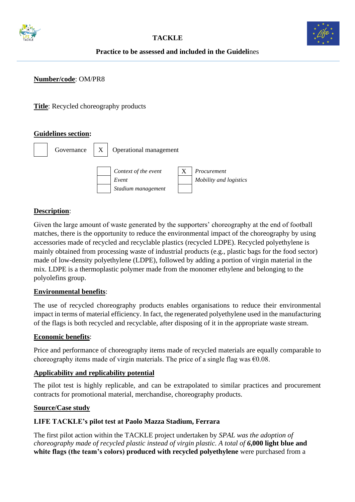



# **Practice to be assessed and included in the Guideli**nes

## **Number/code**: OM/PR8

**Title**: Recycled choreography products

#### **Guidelines section:**



## **Description**:

Given the large amount of waste generated by the supporters' choreography at the end of football matches, there is the opportunity to reduce the environmental impact of the choreography by using accessories made of recycled and recyclable plastics (recycled LDPE). Recycled polyethylene is mainly obtained from processing waste of industrial products (e.g., plastic bags for the food sector) made of low-density polyethylene (LDPE), followed by adding a portion of virgin material in the mix. LDPE is a thermoplastic polymer made from the monomer ethylene and belonging to the polyolefins group.

## **Environmental benefits**:

The use of recycled choreography products enables organisations to reduce their environmental impact in terms of material efficiency. In fact, the regenerated polyethylene used in the manufacturing of the flags is both recycled and recyclable, after disposing of it in the appropriate waste stream.

#### **Economic benefits**:

Price and performance of choreography items made of recycled materials are equally comparable to choreography items made of virgin materials. The price of a single flag was  $\epsilon 0.08$ .

## **Applicability and replicability potential**

The pilot test is highly replicable, and can be extrapolated to similar practices and procurement contracts for promotional material, merchandise, choreography products.

#### **Source/Case study**

## **LIFE TACKLE's pilot test at Paolo Mazza Stadium, Ferrara**

The first pilot action within the TACKLE project undertaken by *SPAL was the adoption of choreography made of recycled plastic instead of virgin plastic. A total of 6***,000 light blue and white flags (the team's colors) produced with recycled polyethylene** were purchased from a